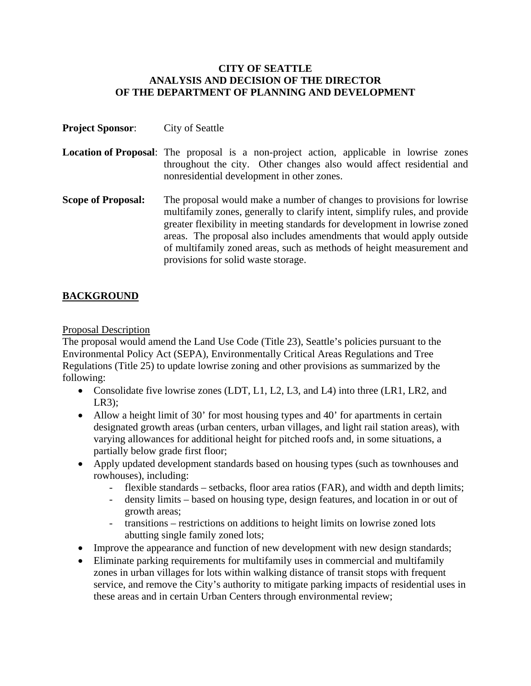### **CITY OF SEATTLE ANALYSIS AND DECISION OF THE DIRECTOR OF THE DEPARTMENT OF PLANNING AND DEVELOPMENT**

| <b>Project Sponsor:</b>   | City of Seattle                                                                                                                                                                                                                                                                                                                                                                                                            |
|---------------------------|----------------------------------------------------------------------------------------------------------------------------------------------------------------------------------------------------------------------------------------------------------------------------------------------------------------------------------------------------------------------------------------------------------------------------|
|                           | <b>Location of Proposal:</b> The proposal is a non-project action, applicable in lowrise zones<br>throughout the city. Other changes also would affect residential and<br>nonresidential development in other zones.                                                                                                                                                                                                       |
| <b>Scope of Proposal:</b> | The proposal would make a number of changes to provisions for lowrise<br>multifamily zones, generally to clarify intent, simplify rules, and provide<br>greater flexibility in meeting standards for development in lowrise zoned<br>areas. The proposal also includes amendments that would apply outside<br>of multifamily zoned areas, such as methods of height measurement and<br>provisions for solid waste storage. |

# **BACKGROUND**

### Proposal Description

The proposal would amend the Land Use Code (Title 23), Seattle's policies pursuant to the Environmental Policy Act (SEPA), Environmentally Critical Areas Regulations and Tree Regulations (Title 25) to update lowrise zoning and other provisions as summarized by the following:

- Consolidate five lowrise zones (LDT, L1, L2, L3, and L4) into three (LR1, LR2, and LR3);
- Allow a height limit of 30' for most housing types and 40' for apartments in certain designated growth areas (urban centers, urban villages, and light rail station areas), with varying allowances for additional height for pitched roofs and, in some situations, a partially below grade first floor;
- Apply updated development standards based on housing types (such as townhouses and rowhouses), including:
	- flexible standards setbacks, floor area ratios (FAR), and width and depth limits;
	- density limits based on housing type, design features, and location in or out of growth areas;
	- transitions restrictions on additions to height limits on lowrise zoned lots abutting single family zoned lots;
- Improve the appearance and function of new development with new design standards;
- Eliminate parking requirements for multifamily uses in commercial and multifamily zones in urban villages for lots within walking distance of transit stops with frequent service, and remove the City's authority to mitigate parking impacts of residential uses in these areas and in certain Urban Centers through environmental review;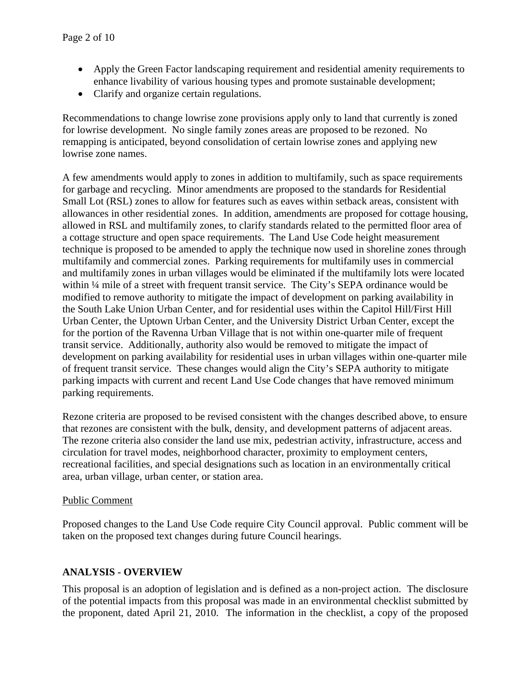- Apply the Green Factor landscaping requirement and residential amenity requirements to enhance livability of various housing types and promote sustainable development;
- Clarify and organize certain regulations.

Recommendations to change lowrise zone provisions apply only to land that currently is zoned for lowrise development. No single family zones areas are proposed to be rezoned. No remapping is anticipated, beyond consolidation of certain lowrise zones and applying new lowrise zone names.

A few amendments would apply to zones in addition to multifamily, such as space requirements for garbage and recycling. Minor amendments are proposed to the standards for Residential Small Lot (RSL) zones to allow for features such as eaves within setback areas, consistent with allowances in other residential zones. In addition, amendments are proposed for cottage housing, allowed in RSL and multifamily zones, to clarify standards related to the permitted floor area of a cottage structure and open space requirements. The Land Use Code height measurement technique is proposed to be amended to apply the technique now used in shoreline zones through multifamily and commercial zones. Parking requirements for multifamily uses in commercial and multifamily zones in urban villages would be eliminated if the multifamily lots were located within ¼ mile of a street with frequent transit service. The City's SEPA ordinance would be modified to remove authority to mitigate the impact of development on parking availability in the South Lake Union Urban Center, and for residential uses within the Capitol Hill/First Hill Urban Center, the Uptown Urban Center, and the University District Urban Center, except the for the portion of the Ravenna Urban Village that is not within one-quarter mile of frequent transit service. Additionally, authority also would be removed to mitigate the impact of development on parking availability for residential uses in urban villages within one-quarter mile of frequent transit service. These changes would align the City's SEPA authority to mitigate parking impacts with current and recent Land Use Code changes that have removed minimum parking requirements.

Rezone criteria are proposed to be revised consistent with the changes described above, to ensure that rezones are consistent with the bulk, density, and development patterns of adjacent areas. The rezone criteria also consider the land use mix, pedestrian activity, infrastructure, access and circulation for travel modes, neighborhood character, proximity to employment centers, recreational facilities, and special designations such as location in an environmentally critical area, urban village, urban center, or station area.

### Public Comment

Proposed changes to the Land Use Code require City Council approval. Public comment will be taken on the proposed text changes during future Council hearings.

# **ANALYSIS - OVERVIEW**

This proposal is an adoption of legislation and is defined as a non-project action. The disclosure of the potential impacts from this proposal was made in an environmental checklist submitted by the proponent, dated April 21, 2010. The information in the checklist, a copy of the proposed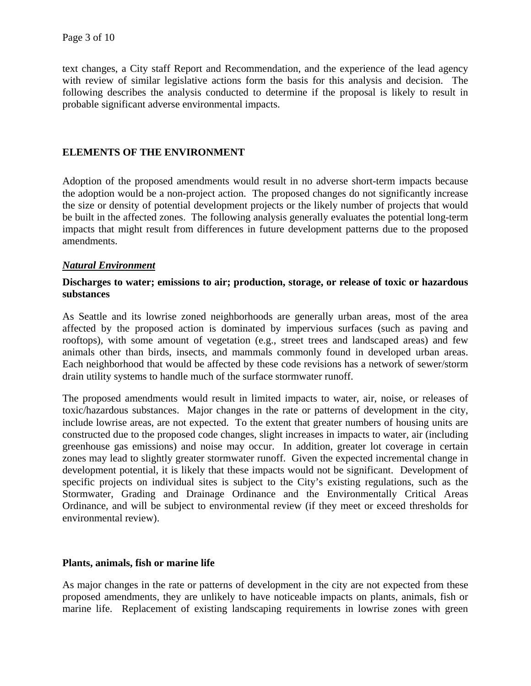text changes, a City staff Report and Recommendation, and the experience of the lead agency with review of similar legislative actions form the basis for this analysis and decision. The following describes the analysis conducted to determine if the proposal is likely to result in probable significant adverse environmental impacts.

### **ELEMENTS OF THE ENVIRONMENT**

Adoption of the proposed amendments would result in no adverse short-term impacts because the adoption would be a non-project action. The proposed changes do not significantly increase the size or density of potential development projects or the likely number of projects that would be built in the affected zones. The following analysis generally evaluates the potential long-term impacts that might result from differences in future development patterns due to the proposed amendments.

### *Natural Environment*

### **Discharges to water; emissions to air; production, storage, or release of toxic or hazardous substances**

As Seattle and its lowrise zoned neighborhoods are generally urban areas, most of the area affected by the proposed action is dominated by impervious surfaces (such as paving and rooftops), with some amount of vegetation (e.g., street trees and landscaped areas) and few animals other than birds, insects, and mammals commonly found in developed urban areas. Each neighborhood that would be affected by these code revisions has a network of sewer/storm drain utility systems to handle much of the surface stormwater runoff.

The proposed amendments would result in limited impacts to water, air, noise, or releases of toxic/hazardous substances. Major changes in the rate or patterns of development in the city, include lowrise areas, are not expected. To the extent that greater numbers of housing units are constructed due to the proposed code changes, slight increases in impacts to water, air (including greenhouse gas emissions) and noise may occur. In addition, greater lot coverage in certain zones may lead to slightly greater stormwater runoff. Given the expected incremental change in development potential, it is likely that these impacts would not be significant. Development of specific projects on individual sites is subject to the City's existing regulations, such as the Stormwater, Grading and Drainage Ordinance and the Environmentally Critical Areas Ordinance, and will be subject to environmental review (if they meet or exceed thresholds for environmental review).

### **Plants, animals, fish or marine life**

As major changes in the rate or patterns of development in the city are not expected from these proposed amendments, they are unlikely to have noticeable impacts on plants, animals, fish or marine life. Replacement of existing landscaping requirements in lowrise zones with green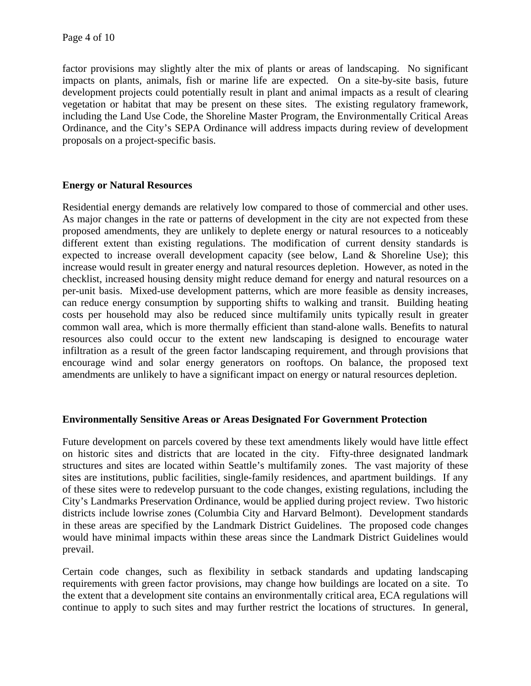factor provisions may slightly alter the mix of plants or areas of landscaping. No significant impacts on plants, animals, fish or marine life are expected. On a site-by-site basis, future development projects could potentially result in plant and animal impacts as a result of clearing vegetation or habitat that may be present on these sites. The existing regulatory framework, including the Land Use Code, the Shoreline Master Program, the Environmentally Critical Areas Ordinance, and the City's SEPA Ordinance will address impacts during review of development proposals on a project-specific basis.

# **Energy or Natural Resources**

Residential energy demands are relatively low compared to those of commercial and other uses. As major changes in the rate or patterns of development in the city are not expected from these proposed amendments, they are unlikely to deplete energy or natural resources to a noticeably different extent than existing regulations. The modification of current density standards is expected to increase overall development capacity (see below, Land & Shoreline Use); this increase would result in greater energy and natural resources depletion. However, as noted in the checklist, increased housing density might reduce demand for energy and natural resources on a per-unit basis. Mixed-use development patterns, which are more feasible as density increases, can reduce energy consumption by supporting shifts to walking and transit. Building heating costs per household may also be reduced since multifamily units typically result in greater common wall area, which is more thermally efficient than stand-alone walls. Benefits to natural resources also could occur to the extent new landscaping is designed to encourage water infiltration as a result of the green factor landscaping requirement, and through provisions that encourage wind and solar energy generators on rooftops. On balance, the proposed text amendments are unlikely to have a significant impact on energy or natural resources depletion.

# **Environmentally Sensitive Areas or Areas Designated For Government Protection**

Future development on parcels covered by these text amendments likely would have little effect on historic sites and districts that are located in the city. Fifty-three designated landmark structures and sites are located within Seattle's multifamily zones. The vast majority of these sites are institutions, public facilities, single-family residences, and apartment buildings. If any of these sites were to redevelop pursuant to the code changes, existing regulations, including the City's Landmarks Preservation Ordinance, would be applied during project review. Two historic districts include lowrise zones (Columbia City and Harvard Belmont). Development standards in these areas are specified by the Landmark District Guidelines. The proposed code changes would have minimal impacts within these areas since the Landmark District Guidelines would prevail.

Certain code changes, such as flexibility in setback standards and updating landscaping requirements with green factor provisions, may change how buildings are located on a site. To the extent that a development site contains an environmentally critical area, ECA regulations will continue to apply to such sites and may further restrict the locations of structures. In general,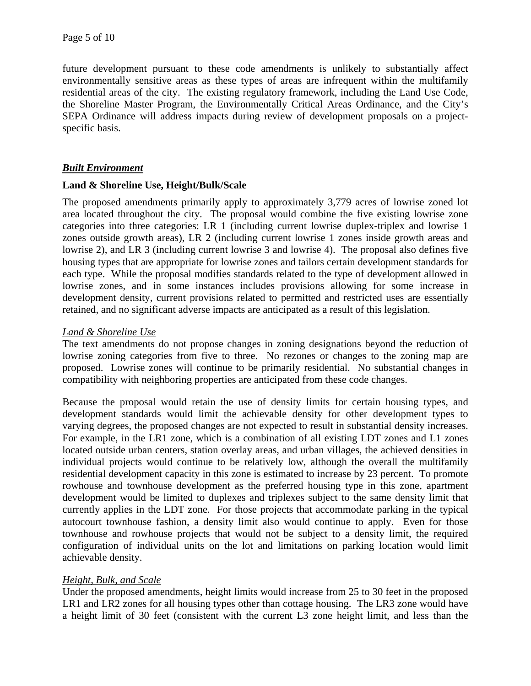future development pursuant to these code amendments is unlikely to substantially affect environmentally sensitive areas as these types of areas are infrequent within the multifamily residential areas of the city. The existing regulatory framework, including the Land Use Code, the Shoreline Master Program, the Environmentally Critical Areas Ordinance, and the City's SEPA Ordinance will address impacts during review of development proposals on a projectspecific basis.

# *Built Environment*

### **Land & Shoreline Use, Height/Bulk/Scale**

The proposed amendments primarily apply to approximately 3,779 acres of lowrise zoned lot area located throughout the city. The proposal would combine the five existing lowrise zone categories into three categories: LR 1 (including current lowrise duplex-triplex and lowrise 1 zones outside growth areas), LR 2 (including current lowrise 1 zones inside growth areas and lowrise 2), and LR 3 (including current lowrise 3 and lowrise 4). The proposal also defines five housing types that are appropriate for lowrise zones and tailors certain development standards for each type. While the proposal modifies standards related to the type of development allowed in lowrise zones, and in some instances includes provisions allowing for some increase in development density, current provisions related to permitted and restricted uses are essentially retained, and no significant adverse impacts are anticipated as a result of this legislation.

# *Land & Shoreline Use*

The text amendments do not propose changes in zoning designations beyond the reduction of lowrise zoning categories from five to three. No rezones or changes to the zoning map are proposed. Lowrise zones will continue to be primarily residential. No substantial changes in compatibility with neighboring properties are anticipated from these code changes.

Because the proposal would retain the use of density limits for certain housing types, and development standards would limit the achievable density for other development types to varying degrees, the proposed changes are not expected to result in substantial density increases. For example, in the LR1 zone, which is a combination of all existing LDT zones and L1 zones located outside urban centers, station overlay areas, and urban villages, the achieved densities in individual projects would continue to be relatively low, although the overall the multifamily residential development capacity in this zone is estimated to increase by 23 percent. To promote rowhouse and townhouse development as the preferred housing type in this zone, apartment development would be limited to duplexes and triplexes subject to the same density limit that currently applies in the LDT zone. For those projects that accommodate parking in the typical autocourt townhouse fashion, a density limit also would continue to apply. Even for those townhouse and rowhouse projects that would not be subject to a density limit, the required configuration of individual units on the lot and limitations on parking location would limit achievable density.

# *Height, Bulk, and Scale*

Under the proposed amendments, height limits would increase from 25 to 30 feet in the proposed LR1 and LR2 zones for all housing types other than cottage housing. The LR3 zone would have a height limit of 30 feet (consistent with the current L3 zone height limit, and less than the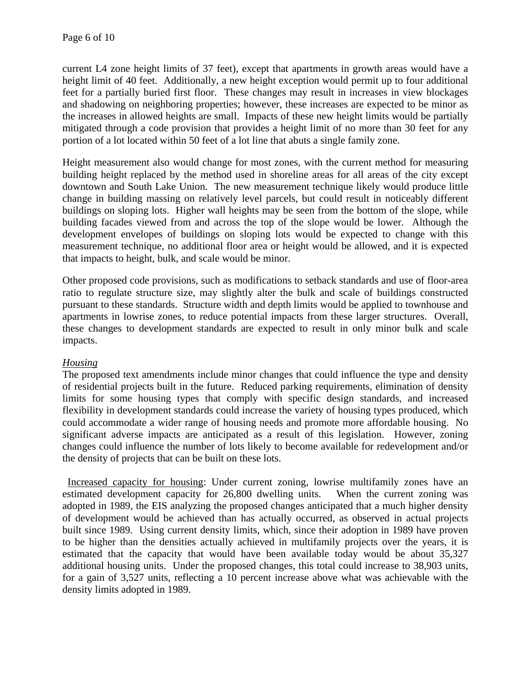current L4 zone height limits of 37 feet), except that apartments in growth areas would have a height limit of 40 feet. Additionally, a new height exception would permit up to four additional feet for a partially buried first floor. These changes may result in increases in view blockages and shadowing on neighboring properties; however, these increases are expected to be minor as the increases in allowed heights are small. Impacts of these new height limits would be partially mitigated through a code provision that provides a height limit of no more than 30 feet for any portion of a lot located within 50 feet of a lot line that abuts a single family zone.

Height measurement also would change for most zones, with the current method for measuring building height replaced by the method used in shoreline areas for all areas of the city except downtown and South Lake Union. The new measurement technique likely would produce little change in building massing on relatively level parcels, but could result in noticeably different buildings on sloping lots. Higher wall heights may be seen from the bottom of the slope, while building facades viewed from and across the top of the slope would be lower. Although the development envelopes of buildings on sloping lots would be expected to change with this measurement technique, no additional floor area or height would be allowed, and it is expected that impacts to height, bulk, and scale would be minor.

Other proposed code provisions, such as modifications to setback standards and use of floor-area ratio to regulate structure size, may slightly alter the bulk and scale of buildings constructed pursuant to these standards. Structure width and depth limits would be applied to townhouse and apartments in lowrise zones, to reduce potential impacts from these larger structures. Overall, these changes to development standards are expected to result in only minor bulk and scale impacts.

# *Housing*

The proposed text amendments include minor changes that could influence the type and density of residential projects built in the future. Reduced parking requirements, elimination of density limits for some housing types that comply with specific design standards, and increased flexibility in development standards could increase the variety of housing types produced, which could accommodate a wider range of housing needs and promote more affordable housing. No significant adverse impacts are anticipated as a result of this legislation. However, zoning changes could influence the number of lots likely to become available for redevelopment and/or the density of projects that can be built on these lots.

 Increased capacity for housing: Under current zoning, lowrise multifamily zones have an estimated development capacity for 26,800 dwelling units. When the current zoning was adopted in 1989, the EIS analyzing the proposed changes anticipated that a much higher density of development would be achieved than has actually occurred, as observed in actual projects built since 1989. Using current density limits, which, since their adoption in 1989 have proven to be higher than the densities actually achieved in multifamily projects over the years, it is estimated that the capacity that would have been available today would be about 35,327 additional housing units. Under the proposed changes, this total could increase to 38,903 units, for a gain of 3,527 units, reflecting a 10 percent increase above what was achievable with the density limits adopted in 1989.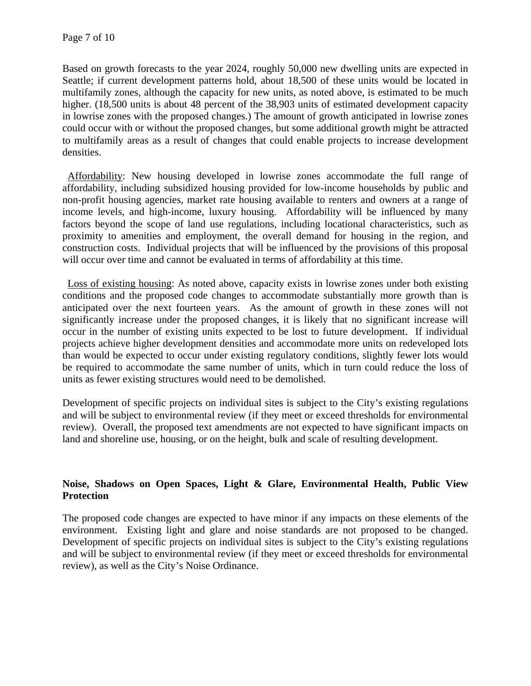Based on growth forecasts to the year 2024, roughly 50,000 new dwelling units are expected in Seattle; if current development patterns hold, about 18,500 of these units would be located in multifamily zones, although the capacity for new units, as noted above, is estimated to be much higher. (18,500 units is about 48 percent of the 38,903 units of estimated development capacity in lowrise zones with the proposed changes.) The amount of growth anticipated in lowrise zones could occur with or without the proposed changes, but some additional growth might be attracted to multifamily areas as a result of changes that could enable projects to increase development densities.

 Affordability: New housing developed in lowrise zones accommodate the full range of affordability, including subsidized housing provided for low-income households by public and non-profit housing agencies, market rate housing available to renters and owners at a range of income levels, and high-income, luxury housing. Affordability will be influenced by many factors beyond the scope of land use regulations, including locational characteristics, such as proximity to amenities and employment, the overall demand for housing in the region, and construction costs. Individual projects that will be influenced by the provisions of this proposal will occur over time and cannot be evaluated in terms of affordability at this time.

 Loss of existing housing: As noted above, capacity exists in lowrise zones under both existing conditions and the proposed code changes to accommodate substantially more growth than is anticipated over the next fourteen years. As the amount of growth in these zones will not significantly increase under the proposed changes, it is likely that no significant increase will occur in the number of existing units expected to be lost to future development. If individual projects achieve higher development densities and accommodate more units on redeveloped lots than would be expected to occur under existing regulatory conditions, slightly fewer lots would be required to accommodate the same number of units, which in turn could reduce the loss of units as fewer existing structures would need to be demolished.

Development of specific projects on individual sites is subject to the City's existing regulations and will be subject to environmental review (if they meet or exceed thresholds for environmental review). Overall, the proposed text amendments are not expected to have significant impacts on land and shoreline use, housing, or on the height, bulk and scale of resulting development.

# **Noise, Shadows on Open Spaces, Light & Glare, Environmental Health, Public View Protection**

The proposed code changes are expected to have minor if any impacts on these elements of the environment. Existing light and glare and noise standards are not proposed to be changed. Development of specific projects on individual sites is subject to the City's existing regulations and will be subject to environmental review (if they meet or exceed thresholds for environmental review), as well as the City's Noise Ordinance.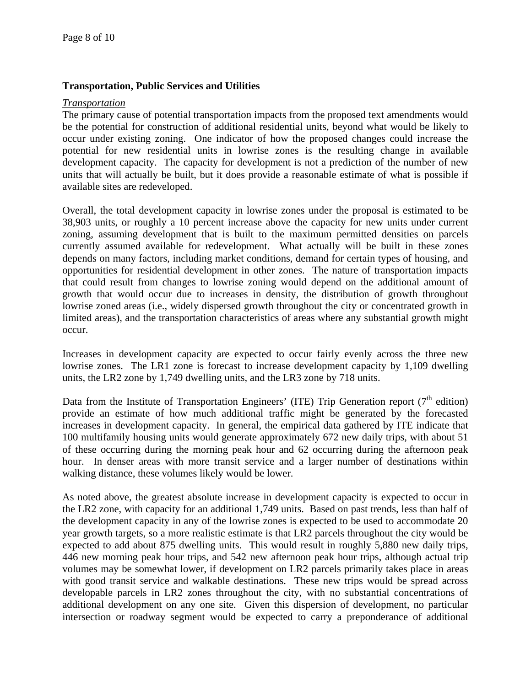### **Transportation, Public Services and Utilities**

#### *Transportation*

The primary cause of potential transportation impacts from the proposed text amendments would be the potential for construction of additional residential units, beyond what would be likely to occur under existing zoning. One indicator of how the proposed changes could increase the potential for new residential units in lowrise zones is the resulting change in available development capacity. The capacity for development is not a prediction of the number of new units that will actually be built, but it does provide a reasonable estimate of what is possible if available sites are redeveloped.

Overall, the total development capacity in lowrise zones under the proposal is estimated to be 38,903 units, or roughly a 10 percent increase above the capacity for new units under current zoning, assuming development that is built to the maximum permitted densities on parcels currently assumed available for redevelopment. What actually will be built in these zones depends on many factors, including market conditions, demand for certain types of housing, and opportunities for residential development in other zones. The nature of transportation impacts that could result from changes to lowrise zoning would depend on the additional amount of growth that would occur due to increases in density, the distribution of growth throughout lowrise zoned areas (i.e., widely dispersed growth throughout the city or concentrated growth in limited areas), and the transportation characteristics of areas where any substantial growth might occur.

Increases in development capacity are expected to occur fairly evenly across the three new lowrise zones. The LR1 zone is forecast to increase development capacity by 1,109 dwelling units, the LR2 zone by 1,749 dwelling units, and the LR3 zone by 718 units.

Data from the Institute of Transportation Engineers' (ITE) Trip Generation report ( $7<sup>th</sup>$  edition) provide an estimate of how much additional traffic might be generated by the forecasted increases in development capacity. In general, the empirical data gathered by ITE indicate that 100 multifamily housing units would generate approximately 672 new daily trips, with about 51 of these occurring during the morning peak hour and 62 occurring during the afternoon peak hour. In denser areas with more transit service and a larger number of destinations within walking distance, these volumes likely would be lower.

As noted above, the greatest absolute increase in development capacity is expected to occur in the LR2 zone, with capacity for an additional 1,749 units. Based on past trends, less than half of the development capacity in any of the lowrise zones is expected to be used to accommodate 20 year growth targets, so a more realistic estimate is that LR2 parcels throughout the city would be expected to add about 875 dwelling units. This would result in roughly 5,880 new daily trips, 446 new morning peak hour trips, and 542 new afternoon peak hour trips, although actual trip volumes may be somewhat lower, if development on LR2 parcels primarily takes place in areas with good transit service and walkable destinations. These new trips would be spread across developable parcels in LR2 zones throughout the city, with no substantial concentrations of additional development on any one site. Given this dispersion of development, no particular intersection or roadway segment would be expected to carry a preponderance of additional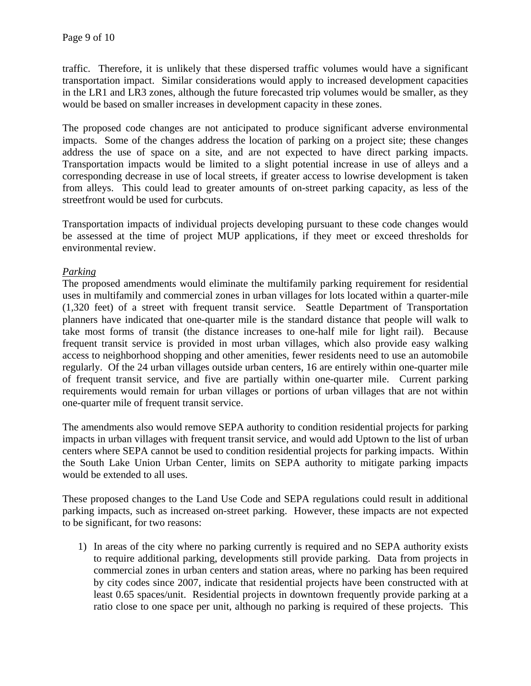traffic. Therefore, it is unlikely that these dispersed traffic volumes would have a significant transportation impact. Similar considerations would apply to increased development capacities in the LR1 and LR3 zones, although the future forecasted trip volumes would be smaller, as they would be based on smaller increases in development capacity in these zones.

The proposed code changes are not anticipated to produce significant adverse environmental impacts. Some of the changes address the location of parking on a project site; these changes address the use of space on a site, and are not expected to have direct parking impacts. Transportation impacts would be limited to a slight potential increase in use of alleys and a corresponding decrease in use of local streets, if greater access to lowrise development is taken from alleys. This could lead to greater amounts of on-street parking capacity, as less of the streetfront would be used for curbcuts.

Transportation impacts of individual projects developing pursuant to these code changes would be assessed at the time of project MUP applications, if they meet or exceed thresholds for environmental review.

# *Parking*

The proposed amendments would eliminate the multifamily parking requirement for residential uses in multifamily and commercial zones in urban villages for lots located within a quarter-mile (1,320 feet) of a street with frequent transit service. Seattle Department of Transportation planners have indicated that one-quarter mile is the standard distance that people will walk to take most forms of transit (the distance increases to one-half mile for light rail). Because frequent transit service is provided in most urban villages, which also provide easy walking access to neighborhood shopping and other amenities, fewer residents need to use an automobile regularly. Of the 24 urban villages outside urban centers, 16 are entirely within one-quarter mile of frequent transit service, and five are partially within one-quarter mile. Current parking requirements would remain for urban villages or portions of urban villages that are not within one-quarter mile of frequent transit service.

The amendments also would remove SEPA authority to condition residential projects for parking impacts in urban villages with frequent transit service, and would add Uptown to the list of urban centers where SEPA cannot be used to condition residential projects for parking impacts. Within the South Lake Union Urban Center, limits on SEPA authority to mitigate parking impacts would be extended to all uses.

These proposed changes to the Land Use Code and SEPA regulations could result in additional parking impacts, such as increased on-street parking. However, these impacts are not expected to be significant, for two reasons:

1) In areas of the city where no parking currently is required and no SEPA authority exists to require additional parking, developments still provide parking. Data from projects in commercial zones in urban centers and station areas, where no parking has been required by city codes since 2007, indicate that residential projects have been constructed with at least 0.65 spaces/unit. Residential projects in downtown frequently provide parking at a ratio close to one space per unit, although no parking is required of these projects. This